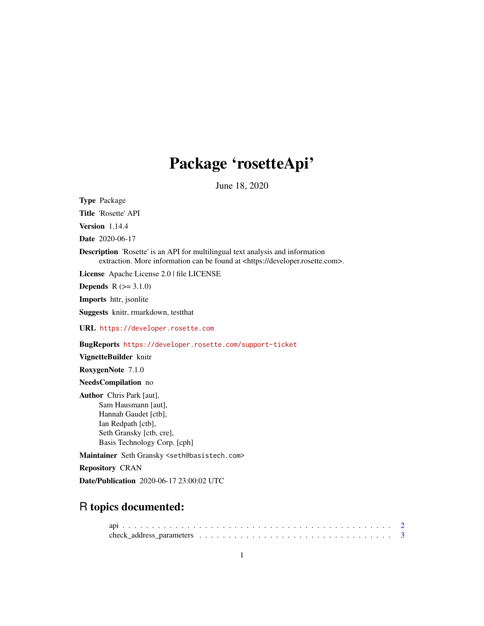# Package 'rosetteApi'

June 18, 2020

Type Package

Title 'Rosette' API

Version 1.14.4

Date 2020-06-17

Description 'Rosette' is an API for multilingual text analysis and information extraction. More information can be found at <https://developer.rosette.com>.

License Apache License 2.0 | file LICENSE

**Depends**  $R$  ( $>= 3.1.0$ )

Imports httr, jsonlite

Suggests knitr, rmarkdown, testthat

URL <https://developer.rosette.com>

BugReports <https://developer.rosette.com/support-ticket>

VignetteBuilder knitr

RoxygenNote 7.1.0

NeedsCompilation no

Author Chris Park [aut], Sam Hausmann [aut], Hannah Gaudet [ctb], Ian Redpath [ctb], Seth Gransky [ctb, cre], Basis Technology Corp. [cph]

Maintainer Seth Gransky <seth@basistech.com>

Repository CRAN

Date/Publication 2020-06-17 23:00:02 UTC

# R topics documented: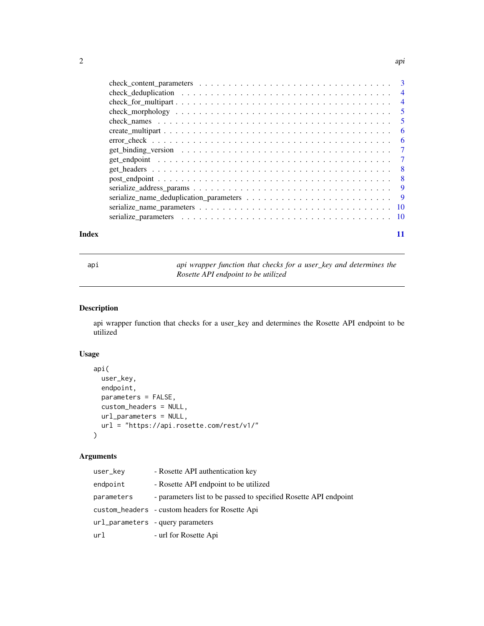<span id="page-1-0"></span>

| Index | 11 |  |
|-------|----|--|

api *api wrapper function that checks for a user\_key and determines the Rosette API endpoint to be utilized*

# Description

api wrapper function that checks for a user\_key and determines the Rosette API endpoint to be utilized

# Usage

```
api(
  user_key,
 endpoint,
 parameters = FALSE,
  custom_headers = NULL,
 url_parameters = NULL,
 url = "https://api.rosette.com/rest/v1/"
)
```
# Arguments

| user_kev   | - Rosette API authentication key                                 |
|------------|------------------------------------------------------------------|
| endpoint   | - Rosette API endpoint to be utilized                            |
| parameters | - parameters list to be passed to specified Rosette API endpoint |
|            | custom_headers - custom headers for Rosette Api                  |
|            | url_parameters -query parameters                                 |
| url        | - url for Rosette Api                                            |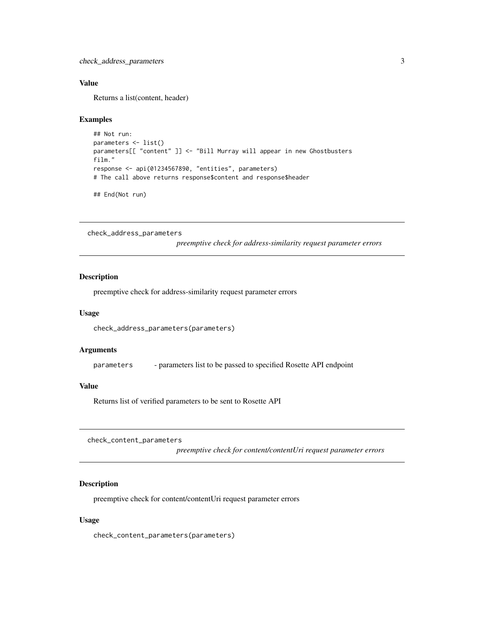## <span id="page-2-0"></span>Value

Returns a list(content, header)

#### Examples

```
## Not run:
parameters <- list()
parameters[[ "content" ]] <- "Bill Murray will appear in new Ghostbusters
film."
response <- api(01234567890, "entities", parameters)
# The call above returns response$content and response$header
```
## End(Not run)

check\_address\_parameters

*preemptive check for address-similarity request parameter errors*

# Description

preemptive check for address-similarity request parameter errors

#### Usage

check\_address\_parameters(parameters)

#### **Arguments**

parameters - parameters list to be passed to specified Rosette API endpoint

### Value

Returns list of verified parameters to be sent to Rosette API

check\_content\_parameters

*preemptive check for content/contentUri request parameter errors*

#### Description

preemptive check for content/contentUri request parameter errors

#### Usage

check\_content\_parameters(parameters)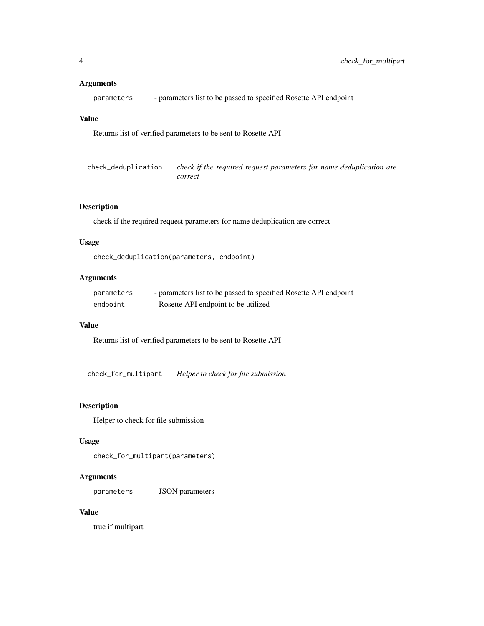#### <span id="page-3-0"></span>Arguments

parameters - parameters list to be passed to specified Rosette API endpoint

## Value

Returns list of verified parameters to be sent to Rosette API

check\_deduplication *check if the required request parameters for name deduplication are correct*

# Description

check if the required request parameters for name deduplication are correct

#### Usage

```
check_deduplication(parameters, endpoint)
```
# Arguments

| parameters | - parameters list to be passed to specified Rosette API endpoint |
|------------|------------------------------------------------------------------|
| endpoint   | - Rosette API endpoint to be utilized                            |

#### Value

Returns list of verified parameters to be sent to Rosette API

check\_for\_multipart *Helper to check for file submission*

### Description

Helper to check for file submission

# Usage

check\_for\_multipart(parameters)

# Arguments

parameters - JSON parameters

#### Value

true if multipart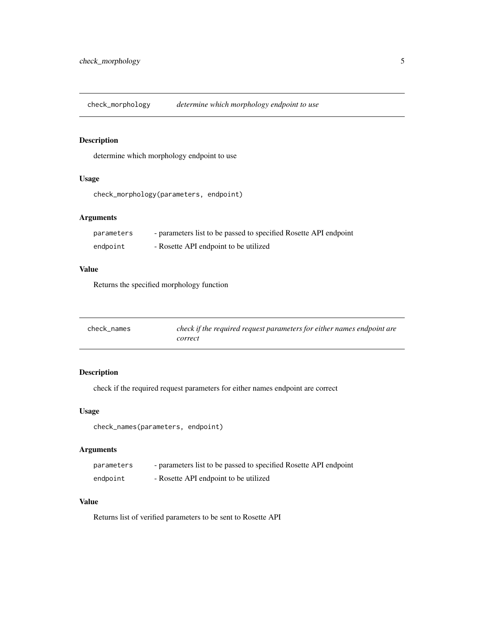<span id="page-4-0"></span>check\_morphology *determine which morphology endpoint to use*

# Description

determine which morphology endpoint to use

# Usage

```
check_morphology(parameters, endpoint)
```
# Arguments

| parameters | - parameters list to be passed to specified Rosette API endpoint |
|------------|------------------------------------------------------------------|
| endpoint   | - Rosette API endpoint to be utilized                            |

# Value

Returns the specified morphology function

| check names | check if the required request parameters for either names endpoint are |
|-------------|------------------------------------------------------------------------|
|             | correct                                                                |

# Description

check if the required request parameters for either names endpoint are correct

#### Usage

check\_names(parameters, endpoint)

# Arguments

| parameters | - parameters list to be passed to specified Rosette API endpoint |
|------------|------------------------------------------------------------------|
| endpoint   | - Rosette API endpoint to be utilized                            |

# Value

Returns list of verified parameters to be sent to Rosette API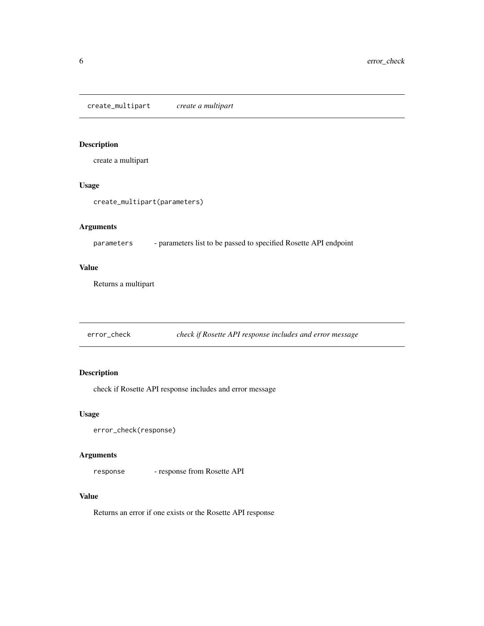# <span id="page-5-0"></span>Description

create a multipart

#### Usage

create\_multipart(parameters)

## Arguments

parameters - parameters list to be passed to specified Rosette API endpoint

#### Value

Returns a multipart

error\_check *check if Rosette API response includes and error message*

# Description

check if Rosette API response includes and error message

# Usage

```
error_check(response)
```
# Arguments

response - response from Rosette API

#### Value

Returns an error if one exists or the Rosette API response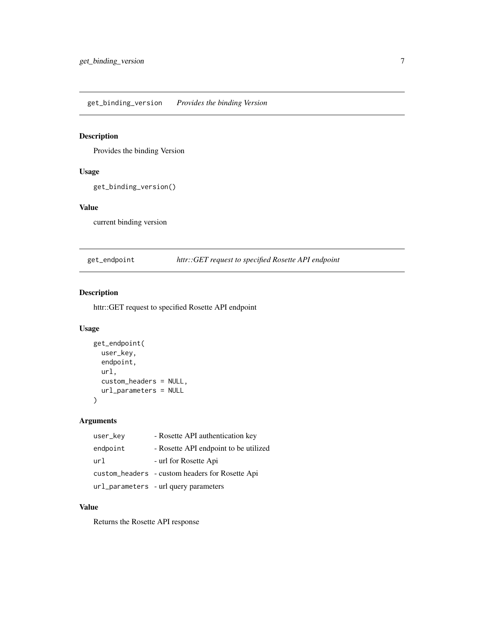<span id="page-6-0"></span>get\_binding\_version *Provides the binding Version*

# Description

Provides the binding Version

# Usage

```
get_binding_version()
```
# Value

current binding version

get\_endpoint *httr::GET request to specified Rosette API endpoint*

# Description

httr::GET request to specified Rosette API endpoint

# Usage

```
get_endpoint(
  user_key,
  endpoint,
  url,
  custom_headers = NULL,
  url_parameters = NULL
\mathcal{L}
```
# Arguments

| user_key | - Rosette API authentication key                |
|----------|-------------------------------------------------|
| endpoint | - Rosette API endpoint to be utilized           |
| url      | - url for Rosette Api                           |
|          | custom_headers - custom headers for Rosette Api |
|          | url_parameters - url query parameters           |

# Value

Returns the Rosette API response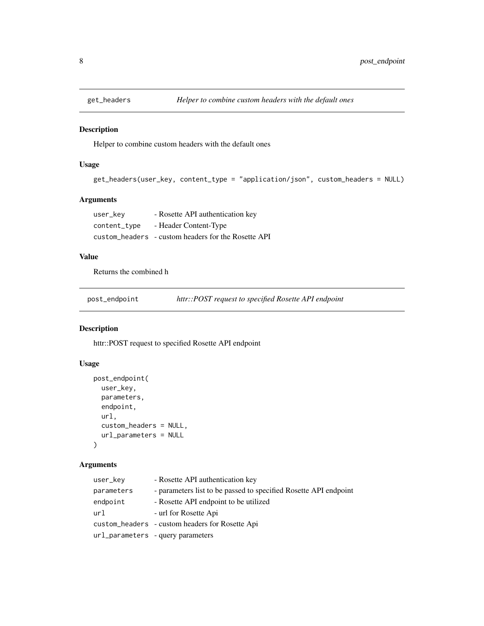<span id="page-7-0"></span>

#### Description

Helper to combine custom headers with the default ones

# Usage

```
get_headers(user_key, content_type = "application/json", custom_headers = NULL)
```
# Arguments

| user_kev     | - Rosette API authentication key                    |
|--------------|-----------------------------------------------------|
| content_type | - Header Content-Type                               |
|              | custom_headers - custom headers for the Rosette API |

# Value

Returns the combined h

post\_endpoint *httr::POST request to specified Rosette API endpoint*

# Description

httr::POST request to specified Rosette API endpoint

# Usage

```
post_endpoint(
  user_key,
 parameters,
  endpoint,
 url,
  custom_headers = NULL,
  url_parameters = NULL
\lambda
```
# Arguments

| user_kev   | - Rosette API authentication key                                 |
|------------|------------------------------------------------------------------|
| parameters | - parameters list to be passed to specified Rosette API endpoint |
| endpoint   | - Rosette API endpoint to be utilized                            |
| url        | - url for Rosette Api                                            |
|            | custom_headers - custom headers for Rosette Api                  |
|            | url_parameters - query parameters                                |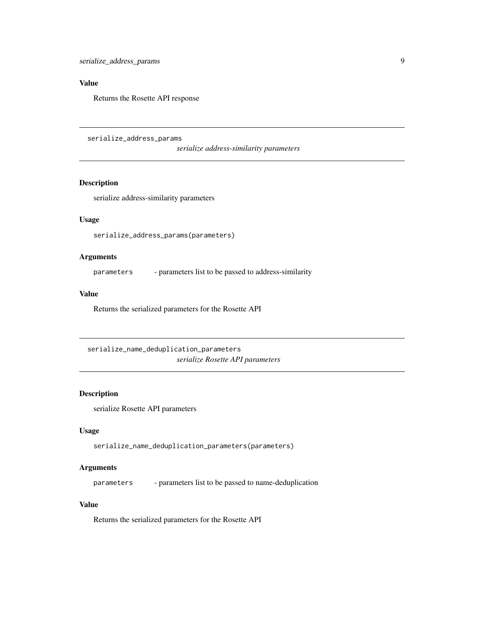# <span id="page-8-0"></span>Value

Returns the Rosette API response

serialize\_address\_params

*serialize address-similarity parameters*

# Description

serialize address-similarity parameters

# Usage

serialize\_address\_params(parameters)

# Arguments

parameters - parameters list to be passed to address-similarity

#### Value

Returns the serialized parameters for the Rosette API

serialize\_name\_deduplication\_parameters *serialize Rosette API parameters*

#### Description

serialize Rosette API parameters

# Usage

serialize\_name\_deduplication\_parameters(parameters)

# Arguments

parameters - parameters list to be passed to name-deduplication

## Value

Returns the serialized parameters for the Rosette API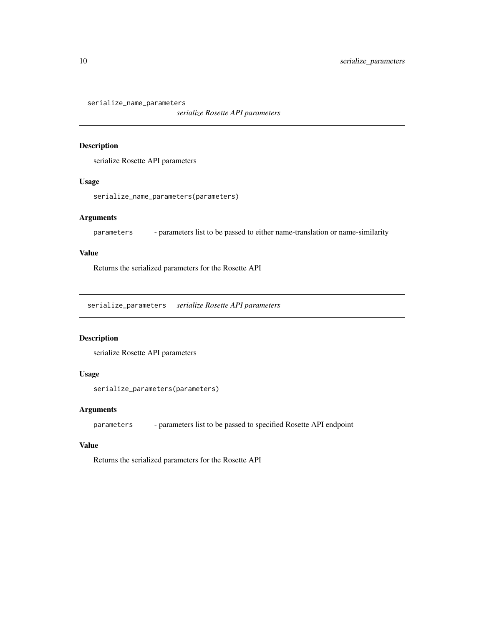```
serialize_name_parameters
```
*serialize Rosette API parameters*

# Description

serialize Rosette API parameters

# Usage

serialize\_name\_parameters(parameters)

# Arguments

parameters - parameters list to be passed to either name-translation or name-similarity

#### Value

Returns the serialized parameters for the Rosette API

serialize\_parameters *serialize Rosette API parameters*

# Description

serialize Rosette API parameters

# Usage

```
serialize_parameters(parameters)
```
# Arguments

parameters - parameters list to be passed to specified Rosette API endpoint

### Value

Returns the serialized parameters for the Rosette API